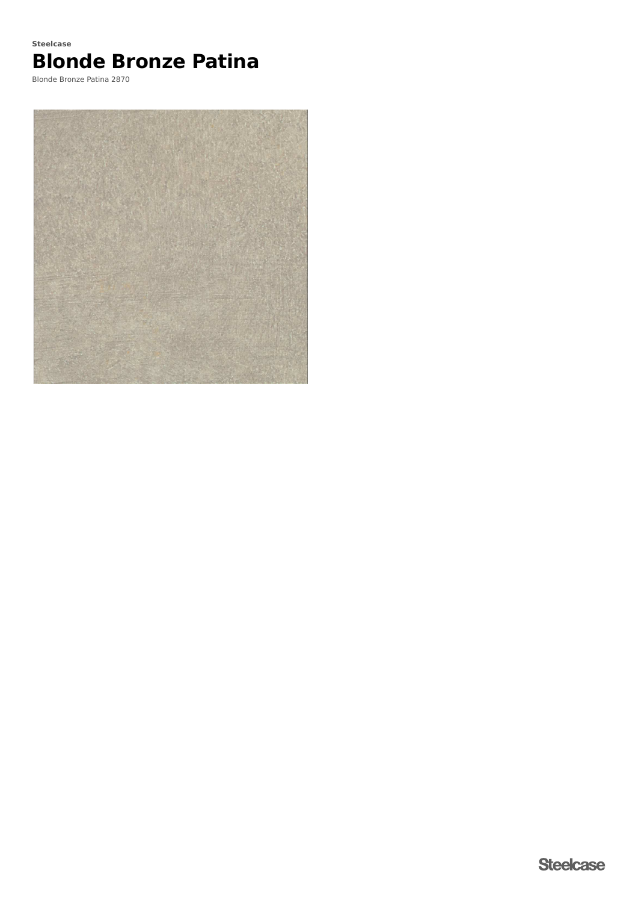# **Blonde Bronze Patina Steelcase**

Blonde Bronze Patina 2870

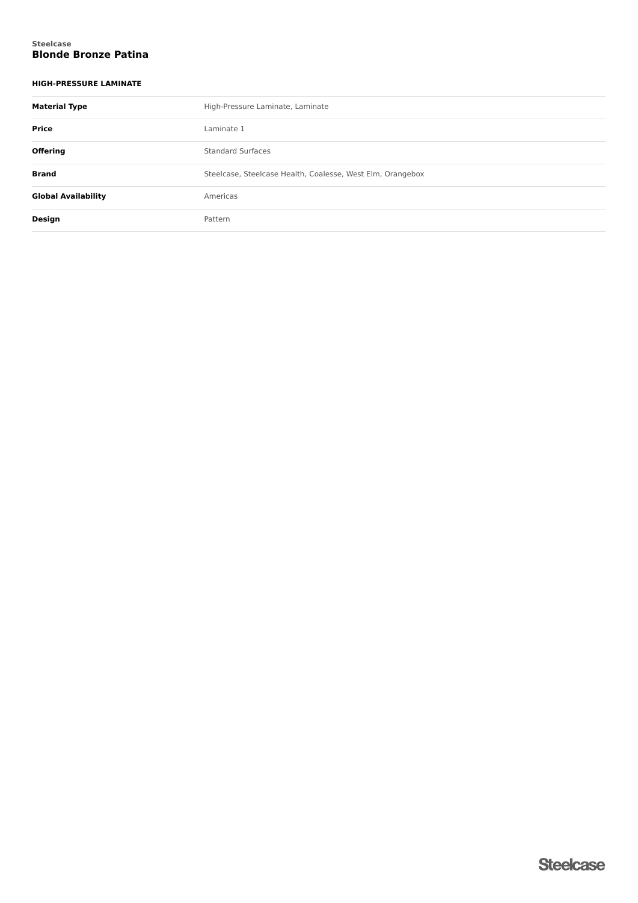#### **Blonde Bronze Patina Steelcase**

### **HIGH-PRESSURE LAMINATE**

| <b>Material Type</b>       | High-Pressure Laminate, Laminate                           |  |  |
|----------------------------|------------------------------------------------------------|--|--|
| Price                      | Laminate 1                                                 |  |  |
| <b>Offering</b>            | <b>Standard Surfaces</b>                                   |  |  |
| <b>Brand</b>               | Steelcase, Steelcase Health, Coalesse, West Elm, Orangebox |  |  |
| <b>Global Availability</b> | Americas                                                   |  |  |
| Design                     | Pattern                                                    |  |  |